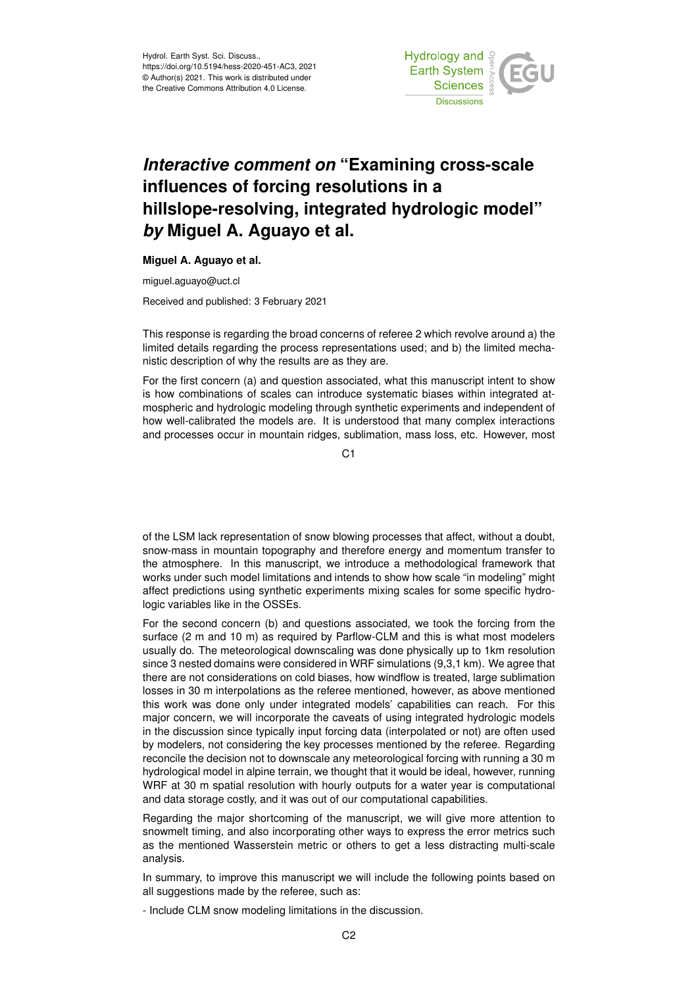

## *Interactive comment on* **"Examining cross-scale influences of forcing resolutions in a hillslope-resolving, integrated hydrologic model"** *by* **Miguel A. Aguayo et al.**

## **Miguel A. Aguayo et al.**

miguel.aguayo@uct.cl

Received and published: 3 February 2021

This response is regarding the broad concerns of referee 2 which revolve around a) the limited details regarding the process representations used; and b) the limited mechanistic description of why the results are as they are.

For the first concern (a) and question associated, what this manuscript intent to show is how combinations of scales can introduce systematic biases within integrated atmospheric and hydrologic modeling through synthetic experiments and independent of how well-calibrated the models are. It is understood that many complex interactions and processes occur in mountain ridges, sublimation, mass loss, etc. However, most

C1

of the LSM lack representation of snow blowing processes that affect, without a doubt, snow-mass in mountain topography and therefore energy and momentum transfer to the atmosphere. In this manuscript, we introduce a methodological framework that works under such model limitations and intends to show how scale "in modeling" might affect predictions using synthetic experiments mixing scales for some specific hydrologic variables like in the OSSEs.

For the second concern (b) and questions associated, we took the forcing from the surface (2 m and 10 m) as required by Parflow-CLM and this is what most modelers usually do. The meteorological downscaling was done physically up to 1km resolution since 3 nested domains were considered in WRF simulations (9,3,1 km). We agree that there are not considerations on cold biases, how windflow is treated, large sublimation losses in 30 m interpolations as the referee mentioned, however, as above mentioned this work was done only under integrated models' capabilities can reach. For this major concern, we will incorporate the caveats of using integrated hydrologic models in the discussion since typically input forcing data (interpolated or not) are often used by modelers, not considering the key processes mentioned by the referee. Regarding reconcile the decision not to downscale any meteorological forcing with running a 30 m hydrological model in alpine terrain, we thought that it would be ideal, however, running WRF at 30 m spatial resolution with hourly outputs for a water year is computational and data storage costly, and it was out of our computational capabilities.

Regarding the major shortcoming of the manuscript, we will give more attention to snowmelt timing, and also incorporating other ways to express the error metrics such as the mentioned Wasserstein metric or others to get a less distracting multi-scale analysis.

In summary, to improve this manuscript we will include the following points based on all suggestions made by the referee, such as:

- Include CLM snow modeling limitations in the discussion.